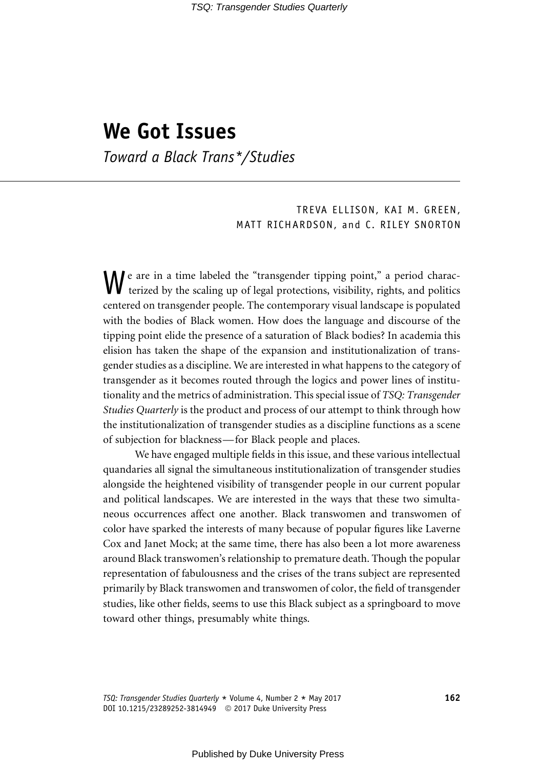# We Got Issues

Toward a Black Trans\*/Studies

## TREVA ELLISON, KAI M. GREEN, MATT RICHARDSON, and C. RILEY SNORTON

We are in a time labeled the "transgender tipping point," a period characterized by the scaling up of legal protections, visibility, rights, and politics centered on transgender people. The contemporary visual landscape is populated with the bodies of Black women. How does the language and discourse of the tipping point elide the presence of a saturation of Black bodies? In academia this elision has taken the shape of the expansion and institutionalization of transgender studies as a discipline. We are interested in what happens to the category of transgender as it becomes routed through the logics and power lines of institutionality and the metrics of administration. This special issue of TSQ: Transgender Studies Quarterly is the product and process of our attempt to think through how the institutionalization of transgender studies as a discipline functions as a scene of subjection for blackness—for Black people and places.

We have engaged multiple fields in this issue, and these various intellectual quandaries all signal the simultaneous institutionalization of transgender studies alongside the heightened visibility of transgender people in our current popular and political landscapes. We are interested in the ways that these two simultaneous occurrences affect one another. Black transwomen and transwomen of color have sparked the interests of many because of popular figures like Laverne Cox and Janet Mock; at the same time, there has also been a lot more awareness around Black transwomen's relationship to premature death. Though the popular representation of fabulousness and the crises of the trans subject are represented primarily by Black transwomen and transwomen of color, the field of transgender studies, like other fields, seems to use this Black subject as a springboard to move toward other things, presumably white things.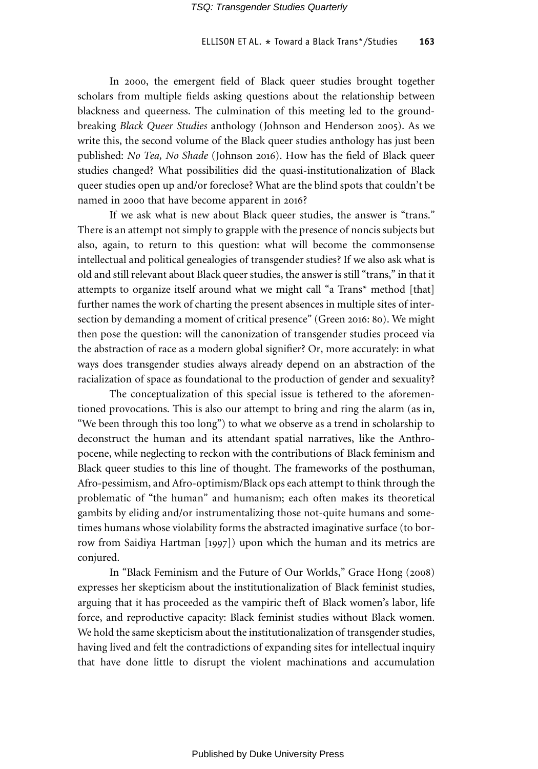In 2000, the emergent field of Black queer studies brought together scholars from multiple fields asking questions about the relationship between blackness and queerness. The culmination of this meeting led to the groundbreaking Black Queer Studies anthology (Johnson and Henderson 2005). As we write this, the second volume of the Black queer studies anthology has just been published: No Tea, No Shade (Johnson 2016). How has the field of Black queer studies changed? What possibilities did the quasi-institutionalization of Black queer studies open up and/or foreclose? What are the blind spots that couldn't be named in 2000 that have become apparent in 2016?

If we ask what is new about Black queer studies, the answer is "trans." There is an attempt not simply to grapple with the presence of noncis subjects but also, again, to return to this question: what will become the commonsense intellectual and political genealogies of transgender studies? If we also ask what is old and still relevant about Black queer studies, the answer is still"trans,"in that it attempts to organize itself around what we might call "a Trans\* method [that] further names the work of charting the present absences in multiple sites of intersection by demanding a moment of critical presence" (Green 2016: 80). We might then pose the question: will the canonization of transgender studies proceed via the abstraction of race as a modern global signifier? Or, more accurately: in what ways does transgender studies always already depend on an abstraction of the racialization of space as foundational to the production of gender and sexuality?

The conceptualization of this special issue is tethered to the aforementioned provocations. This is also our attempt to bring and ring the alarm (as in, "We been through this too long") to what we observe as a trend in scholarship to deconstruct the human and its attendant spatial narratives, like the Anthropocene, while neglecting to reckon with the contributions of Black feminism and Black queer studies to this line of thought. The frameworks of the posthuman, Afro-pessimism, and Afro-optimism/Black ops each attempt to think through the problematic of "the human" and humanism; each often makes its theoretical gambits by eliding and/or instrumentalizing those not-quite humans and sometimes humans whose violability forms the abstracted imaginative surface (to borrow from Saidiya Hartman [1997]) upon which the human and its metrics are conjured.

In "Black Feminism and the Future of Our Worlds," Grace Hong (2008) expresses her skepticism about the institutionalization of Black feminist studies, arguing that it has proceeded as the vampiric theft of Black women's labor, life force, and reproductive capacity: Black feminist studies without Black women. We hold the same skepticism about the institutionalization of transgender studies, having lived and felt the contradictions of expanding sites for intellectual inquiry that have done little to disrupt the violent machinations and accumulation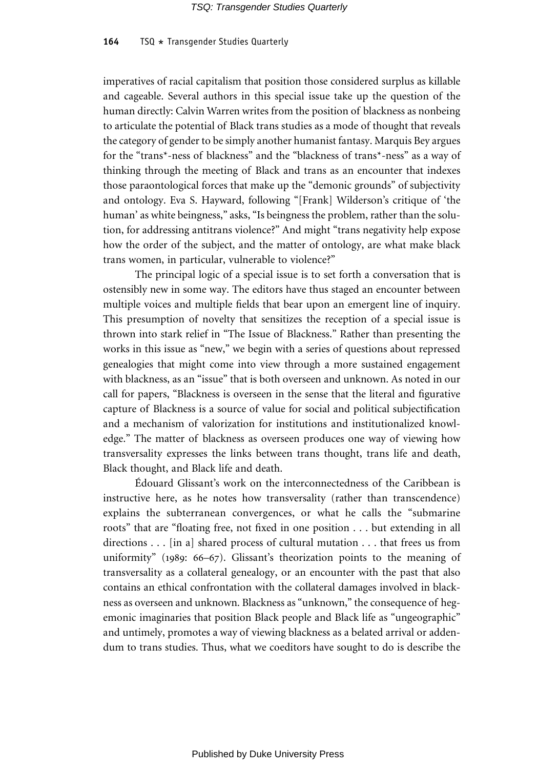## 164 TSQ \* Transgender Studies Quarterly

imperatives of racial capitalism that position those considered surplus as killable and cageable. Several authors in this special issue take up the question of the human directly: Calvin Warren writes from the position of blackness as nonbeing to articulate the potential of Black trans studies as a mode of thought that reveals the category of gender to be simply another humanist fantasy. Marquis Bey argues for the "trans\*-ness of blackness" and the "blackness of trans\*-ness" as a way of thinking through the meeting of Black and trans as an encounter that indexes those paraontological forces that make up the "demonic grounds" of subjectivity and ontology. Eva S. Hayward, following "[Frank] Wilderson's critique of 'the human' as white beingness," asks, "Is beingness the problem, rather than the solution, for addressing antitrans violence?" And might "trans negativity help expose how the order of the subject, and the matter of ontology, are what make black trans women, in particular, vulnerable to violence?"

The principal logic of a special issue is to set forth a conversation that is ostensibly new in some way. The editors have thus staged an encounter between multiple voices and multiple fields that bear upon an emergent line of inquiry. This presumption of novelty that sensitizes the reception of a special issue is thrown into stark relief in "The Issue of Blackness." Rather than presenting the works in this issue as "new," we begin with a series of questions about repressed genealogies that might come into view through a more sustained engagement with blackness, as an "issue" that is both overseen and unknown. As noted in our call for papers, "Blackness is overseen in the sense that the literal and figurative capture of Blackness is a source of value for social and political subjectification and a mechanism of valorization for institutions and institutionalized knowledge." The matter of blackness as overseen produces one way of viewing how transversality expresses the links between trans thought, trans life and death, Black thought, and Black life and death.

Édouard Glissant's work on the interconnectedness of the Caribbean is instructive here, as he notes how transversality (rather than transcendence) explains the subterranean convergences, or what he calls the "submarine roots" that are "floating free, not fixed in one position . . . but extending in all directions . . . [in a] shared process of cultural mutation . . . that frees us from uniformity" (1989: 66–67). Glissant's theorization points to the meaning of transversality as a collateral genealogy, or an encounter with the past that also contains an ethical confrontation with the collateral damages involved in blackness as overseen and unknown. Blackness as "unknown," the consequence of hegemonic imaginaries that position Black people and Black life as "ungeographic" and untimely, promotes a way of viewing blackness as a belated arrival or addendum to trans studies. Thus, what we coeditors have sought to do is describe the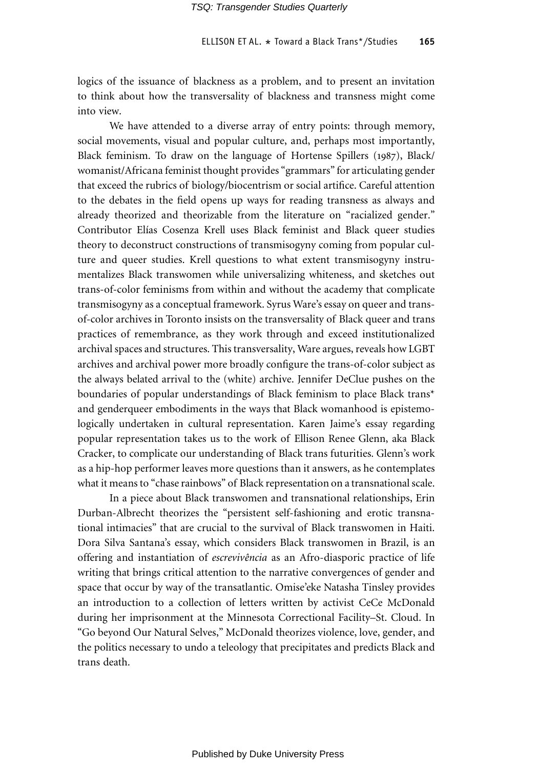logics of the issuance of blackness as a problem, and to present an invitation to think about how the transversality of blackness and transness might come into view.

We have attended to a diverse array of entry points: through memory, social movements, visual and popular culture, and, perhaps most importantly, Black feminism. To draw on the language of Hortense Spillers (1987), Black/ womanist/Africana feminist thought provides "grammars" for articulating gender that exceed the rubrics of biology/biocentrism or social artifice. Careful attention to the debates in the field opens up ways for reading transness as always and already theorized and theorizable from the literature on "racialized gender." Contributor Elías Cosenza Krell uses Black feminist and Black queer studies theory to deconstruct constructions of transmisogyny coming from popular culture and queer studies. Krell questions to what extent transmisogyny instrumentalizes Black transwomen while universalizing whiteness, and sketches out trans-of-color feminisms from within and without the academy that complicate transmisogyny as a conceptual framework. Syrus Ware's essay on queer and transof-color archives in Toronto insists on the transversality of Black queer and trans practices of remembrance, as they work through and exceed institutionalized archival spaces and structures. This transversality, Ware argues, reveals how LGBT archives and archival power more broadly configure the trans-of-color subject as the always belated arrival to the (white) archive. Jennifer DeClue pushes on the boundaries of popular understandings of Black feminism to place Black trans\* and genderqueer embodiments in the ways that Black womanhood is epistemologically undertaken in cultural representation. Karen Jaime's essay regarding popular representation takes us to the work of Ellison Renee Glenn, aka Black Cracker, to complicate our understanding of Black trans futurities. Glenn's work as a hip-hop performer leaves more questions than it answers, as he contemplates what it means to "chase rainbows" of Black representation on a transnational scale.

In a piece about Black transwomen and transnational relationships, Erin Durban-Albrecht theorizes the "persistent self-fashioning and erotic transnational intimacies" that are crucial to the survival of Black transwomen in Haiti. Dora Silva Santana's essay, which considers Black transwomen in Brazil, is an offering and instantiation of escrevivência as an Afro-diasporic practice of life writing that brings critical attention to the narrative convergences of gender and space that occur by way of the transatlantic. Omise'eke Natasha Tinsley provides an introduction to a collection of letters written by activist CeCe McDonald during her imprisonment at the Minnesota Correctional Facility–St. Cloud. In "Go beyond Our Natural Selves," McDonald theorizes violence, love, gender, and the politics necessary to undo a teleology that precipitates and predicts Black and trans death.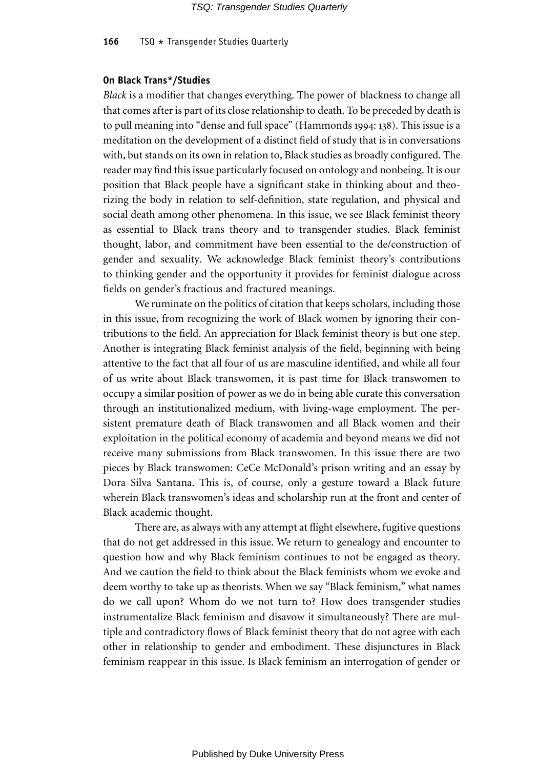166 TSQ \* Transgender Studies Quarterly

## On Black Trans\*/Studies

Black is a modifier that changes everything. The power of blackness to change all that comes after is part of its close relationship to death. To be preceded by death is to pull meaning into "dense and full space" (Hammonds 1994: 138). This issue is a meditation on the development of a distinct field of study that is in conversations with, but stands on its own in relation to, Black studies as broadly configured. The reader may find this issue particularly focused on ontology and nonbeing. It is our position that Black people have a significant stake in thinking about and theorizing the body in relation to self-definition, state regulation, and physical and social death among other phenomena. In this issue, we see Black feminist theory as essential to Black trans theory and to transgender studies. Black feminist thought, labor, and commitment have been essential to the de/construction of gender and sexuality. We acknowledge Black feminist theory's contributions to thinking gender and the opportunity it provides for feminist dialogue across fields on gender's fractious and fractured meanings.

We ruminate on the politics of citation that keeps scholars, including those in this issue, from recognizing the work of Black women by ignoring their contributions to the field. An appreciation for Black feminist theory is but one step. Another is integrating Black feminist analysis of the field, beginning with being attentive to the fact that all four of us are masculine identified, and while all four of us write about Black transwomen, it is past time for Black transwomen to occupy a similar position of power as we do in being able curate this conversation through an institutionalized medium, with living-wage employment. The persistent premature death of Black transwomen and all Black women and their exploitation in the political economy of academia and beyond means we did not receive many submissions from Black transwomen. In this issue there are two pieces by Black transwomen: CeCe McDonald's prison writing and an essay by Dora Silva Santana. This is, of course, only a gesture toward a Black future wherein Black transwomen's ideas and scholarship run at the front and center of Black academic thought.

There are, as always with any attempt at flight elsewhere, fugitive questions that do not get addressed in this issue. We return to genealogy and encounter to question how and why Black feminism continues to not be engaged as theory. And we caution the field to think about the Black feminists whom we evoke and deem worthy to take up as theorists. When we say "Black feminism," what names do we call upon? Whom do we not turn to? How does transgender studies instrumentalize Black feminism and disavow it simultaneously? There are multiple and contradictory flows of Black feminist theory that do not agree with each other in relationship to gender and embodiment. These disjunctures in Black feminism reappear in this issue. Is Black feminism an interrogation of gender or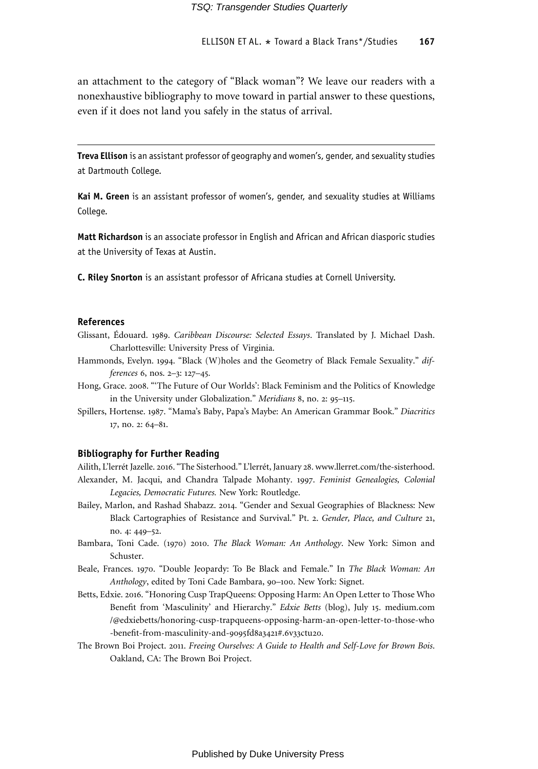an attachment to the category of "Black woman"? We leave our readers with a nonexhaustive bibliography to move toward in partial answer to these questions, even if it does not land you safely in the status of arrival.

**Treva Ellison** is an assistant professor of geography and women's, gender, and sexuality studies at Dartmouth College.

Kai M. Green is an assistant professor of women's, gender, and sexuality studies at Williams College.

Matt Richardson is an associate professor in English and African and African diasporic studies at the University of Texas at Austin.

C. Riley Snorton is an assistant professor of Africana studies at Cornell University.

#### References

- Glissant, Édouard. 1989. Caribbean Discourse: Selected Essays. Translated by J. Michael Dash. Charlottesville: University Press of Virginia.
- Hammonds, Evelyn. 1994. "Black (W)holes and the Geometry of Black Female Sexuality." differences 6, nos. 2–3: 127–45.
- Hong, Grace. 2008. "'The Future of Our Worlds': Black Feminism and the Politics of Knowledge in the University under Globalization." Meridians 8, no. 2: 95–115.
- Spillers, Hortense. 1987. "Mama's Baby, Papa's Maybe: An American Grammar Book." Diacritics 17, no. 2: 64–81.

## Bibliography for Further Reading

Ailith, L'lerrét Jazelle. 2016."The Sisterhood." L'lerrét, January 28.<www.llerret.com/the-sisterhood>.

- Alexander, M. Jacqui, and Chandra Talpade Mohanty. 1997. Feminist Genealogies, Colonial Legacies, Democratic Futures. New York: Routledge.
- Bailey, Marlon, and Rashad Shabazz. 2014. "Gender and Sexual Geographies of Blackness: New Black Cartographies of Resistance and Survival." Pt. 2. Gender, Place, and Culture 21, no. 4: 449–52.
- Bambara, Toni Cade. (1970) 2010. The Black Woman: An Anthology. New York: Simon and Schuster.
- Beale, Frances. 1970. "Double Jeopardy: To Be Black and Female." In The Black Woman: An Anthology, edited by Toni Cade Bambara, 90–100. New York: Signet.
- Betts, Edxie. 2016. "Honoring Cusp TrapQueens: Opposing Harm: An Open Letter to Those Who Benefit from 'Masculinity' and Hierarchy." Edxie Betts (blog), July 15. medium.com /@edxiebetts/honoring-cusp-trapqueens-opposing-harm-an-open-letter-to-those-who -benefit-from-masculinity-and-9095fd8a3421#.6v33ctu20.
- The Brown Boi Project. 2011. Freeing Ourselves: A Guide to Health and Self-Love for Brown Bois. Oakland, CA: The Brown Boi Project.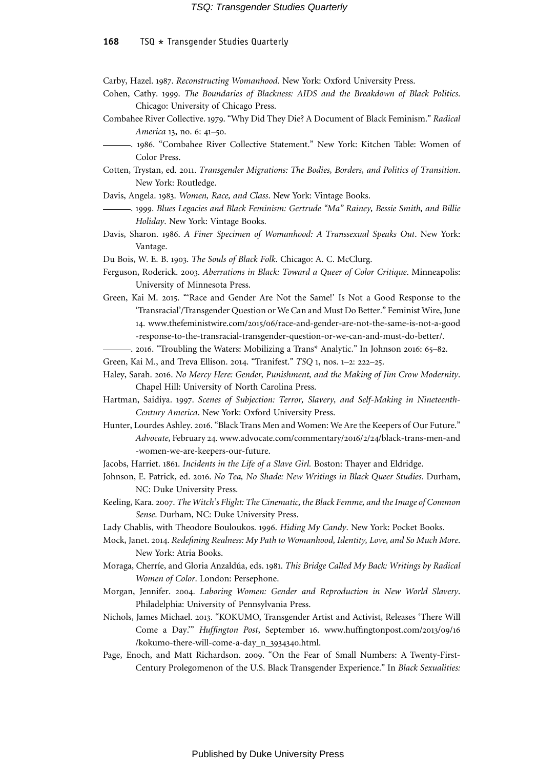### 168 TSQ \* Transgender Studies Quarterly

Carby, Hazel. 1987. Reconstructing Womanhood. New York: Oxford University Press.

- Cohen, Cathy. 1999. The Boundaries of Blackness: AIDS and the Breakdown of Black Politics. Chicago: University of Chicago Press.
- Combahee River Collective. 1979. "Why Did They Die? A Document of Black Feminism." Radical America 13, no. 6: 41–50.
	- . 1986. "Combahee River Collective Statement." New York: Kitchen Table: Women of Color Press.
- Cotten, Trystan, ed. 2011. Transgender Migrations: The Bodies, Borders, and Politics of Transition. New York: Routledge.
- Davis, Angela. 1983. Women, Race, and Class. New York: Vintage Books.
	- . 1999. Blues Legacies and Black Feminism: Gertrude "Ma" Rainey, Bessie Smith, and Billie Holiday. New York: Vintage Books.
- Davis, Sharon. 1986. A Finer Specimen of Womanhood: A Transsexual Speaks Out. New York: Vantage.
- Du Bois, W. E. B. 1903. The Souls of Black Folk. Chicago: A. C. McClurg.
- Ferguson, Roderick. 2003. Aberrations in Black: Toward a Queer of Color Critique. Minneapolis: University of Minnesota Press.
- Green, Kai M. 2015. "'Race and Gender Are Not the Same!' Is Not a Good Response to the 'Transracial'/Transgender Question or We Can and Must Do Better." Feminist Wire, June 14. [www.thefeministwire.com/2015/06/race-and-gender-are-not-the-same-is-not-a-good](www.thefeministwire.com/2015/06/race-and-gender-are-not-the-same-is-not-a-good-response-to-the-transracial-transgender-question-or-we-can-and-must-do-better/) [-response-to-the-transracial-transgender-question-or-we-can-and-must-do-better/](www.thefeministwire.com/2015/06/race-and-gender-are-not-the-same-is-not-a-good-response-to-the-transracial-transgender-question-or-we-can-and-must-do-better/).
- . 2016. "Troubling the Waters: Mobilizing a Trans\* Analytic." In Johnson 2016: 65–82.
- Green, Kai M., and Treva Ellison. 2014. "Tranifest." TSQ 1, nos. 1–2: 222–25.
- Haley, Sarah. 2016. No Mercy Here: Gender, Punishment, and the Making of Jim Crow Modernity. Chapel Hill: University of North Carolina Press.
- Hartman, Saidiya. 1997. Scenes of Subjection: Terror, Slavery, and Self-Making in Nineteenth-Century America. New York: Oxford University Press.
- Hunter, Lourdes Ashley. 2016."Black Trans Men and Women: We Are the Keepers of Our Future." Advocate, February 24. [www.advocate.com/commentary/2016/2/24/black-trans-men-and](www.advocate.com/commentary/2016/2/24/black-trans-men-and-women-we-are-keepers-our-future) [-women-we-are-keepers-our-future](www.advocate.com/commentary/2016/2/24/black-trans-men-and-women-we-are-keepers-our-future).
- Jacobs, Harriet. 1861. Incidents in the Life of a Slave Girl. Boston: Thayer and Eldridge.
- Johnson, E. Patrick, ed. 2016. No Tea, No Shade: New Writings in Black Queer Studies. Durham, NC: Duke University Press.
- Keeling, Kara. 2007. The Witch's Flight: The Cinematic, the Black Femme, and the Image of Common Sense. Durham, NC: Duke University Press.
- Lady Chablis, with Theodore Bouloukos. 1996. Hiding My Candy. New York: Pocket Books.
- Mock, Janet. 2014. Redefining Realness: My Path to Womanhood, Identity, Love, and So Much More. New York: Atria Books.
- Moraga, Cherríe, and Gloria Anzaldúa, eds. 1981. This Bridge Called My Back: Writings by Radical Women of Color. London: Persephone.
- Morgan, Jennifer. 2004. Laboring Women: Gender and Reproduction in New World Slavery. Philadelphia: University of Pennsylvania Press.
- Nichols, James Michael. 2013. "KOKUMO, Transgender Artist and Activist, Releases 'There Will Come a Day.'" Huffington Post, September 16. [www.huffingtonpost.com/2013/09/16](www.huffingtonpost.com/2013/09/16/kokumo-there-will-come-a-day_n_3934340.html) [/kokumo-there-will-come-a-day\\_n\\_3934340.html.](www.huffingtonpost.com/2013/09/16/kokumo-there-will-come-a-day_n_3934340.html)
- Page, Enoch, and Matt Richardson. 2009. "On the Fear of Small Numbers: A Twenty-First-Century Prolegomenon of the U.S. Black Transgender Experience." In Black Sexualities: